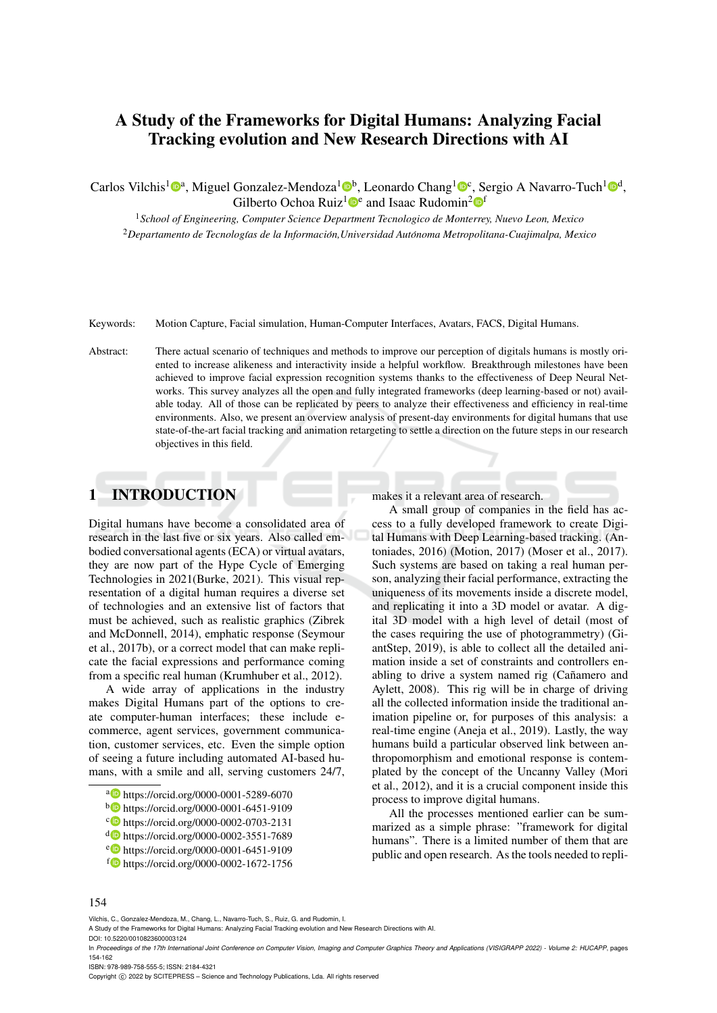# A Study of the Frameworks for Digital Humans: Analyzing Facial Tracking evolution and New Research Directions with AI

Carlos Vilchis<sup>1</sup><sup>®</sup>, Miguel Gonzalez-Mendoza<sup>1</sup><sup>®</sup>, Leonardo Chang<sup>1</sup><sup>®</sup>, Sergio A Navarro-Tuch<sup>1</sup><sup>®</sup>, Gilberto Ochoa Ruiz<sup>1</sup><sup>e</sup> and Isaac Rudomin<sup>2</sup><sup>of</sup>

<sup>1</sup>*School of Engineering, Computer Science Department Tecnologico de Monterrey, Nuevo Leon, Mexico* <sup>2</sup>*Departamento de Tecnolog´ıas de la Informacion,Universidad Aut ´ onoma Metropolitana-Cuajimalpa, Mexico ´*

Keywords: Motion Capture, Facial simulation, Human-Computer Interfaces, Avatars, FACS, Digital Humans.

Abstract: There actual scenario of techniques and methods to improve our perception of digitals humans is mostly oriented to increase alikeness and interactivity inside a helpful workflow. Breakthrough milestones have been achieved to improve facial expression recognition systems thanks to the effectiveness of Deep Neural Networks. This survey analyzes all the open and fully integrated frameworks (deep learning-based or not) available today. All of those can be replicated by peers to analyze their effectiveness and efficiency in real-time environments. Also, we present an overview analysis of present-day environments for digital humans that use state-of-the-art facial tracking and animation retargeting to settle a direction on the future steps in our research objectives in this field.

## 1 INTRODUCTION

Digital humans have become a consolidated area of research in the last five or six years. Also called embodied conversational agents (ECA) or virtual avatars, they are now part of the Hype Cycle of Emerging Technologies in 2021(Burke, 2021). This visual representation of a digital human requires a diverse set of technologies and an extensive list of factors that must be achieved, such as realistic graphics (Zibrek and McDonnell, 2014), emphatic response (Seymour et al., 2017b), or a correct model that can make replicate the facial expressions and performance coming from a specific real human (Krumhuber et al., 2012).

A wide array of applications in the industry makes Digital Humans part of the options to create computer-human interfaces; these include ecommerce, agent services, government communication, customer services, etc. Even the simple option of seeing a future including automated AI-based humans, with a smile and all, serving customers 24/7,

- a https://orcid.org/0000-0001-5289-6070
- <sup>b</sup> https://orcid.org/0000-0001-6451-9109
- c https://orcid.org/0000-0002-0703-2131
- <sup>d</sup> https://orcid.org/0000-0002-3551-7689
- <sup>e</sup> https://orcid.org/0000-0001-6451-9109
- <sup>f</sup> https://orcid.org/0000-0002-1672-1756

makes it a relevant area of research.

A small group of companies in the field has access to a fully developed framework to create Digital Humans with Deep Learning-based tracking. (Antoniades, 2016) (Motion, 2017) (Moser et al., 2017). Such systems are based on taking a real human person, analyzing their facial performance, extracting the uniqueness of its movements inside a discrete model, and replicating it into a 3D model or avatar. A digital 3D model with a high level of detail (most of the cases requiring the use of photogrammetry) (GiantStep, 2019), is able to collect all the detailed animation inside a set of constraints and controllers enabling to drive a system named rig (Cañamero and Aylett, 2008). This rig will be in charge of driving all the collected information inside the traditional animation pipeline or, for purposes of this analysis: a real-time engine (Aneja et al., 2019). Lastly, the way humans build a particular observed link between anthropomorphism and emotional response is contemplated by the concept of the Uncanny Valley (Mori et al., 2012), and it is a crucial component inside this process to improve digital humans.

All the processes mentioned earlier can be summarized as a simple phrase: "framework for digital humans". There is a limited number of them that are public and open research. As the tools needed to repli-

#### 154

ISBN: 978-989-758-555-5; ISSN: 2184-4321

Copyright © 2022 by SCITEPRESS - Science and Technology Publications, Lda. All rights reserved

Vilchis, C., Gonzalez-Mendoza, M., Chang, L., Navarro-Tuch, S., Ruiz, G. and Rudomin, I.

A Study of the Frameworks for Digital Humans: Analyzing Facial Tracking evolution and New Research Directions with AI. DOI: 10.5220/0010823600003124

In *Proceedings of the 17th International Joint Conference on Computer Vision, Imaging and Computer Graphics Theory and Applications (VISIGRAPP 2022) - Volume 2: HUCAPP*, pages 154-162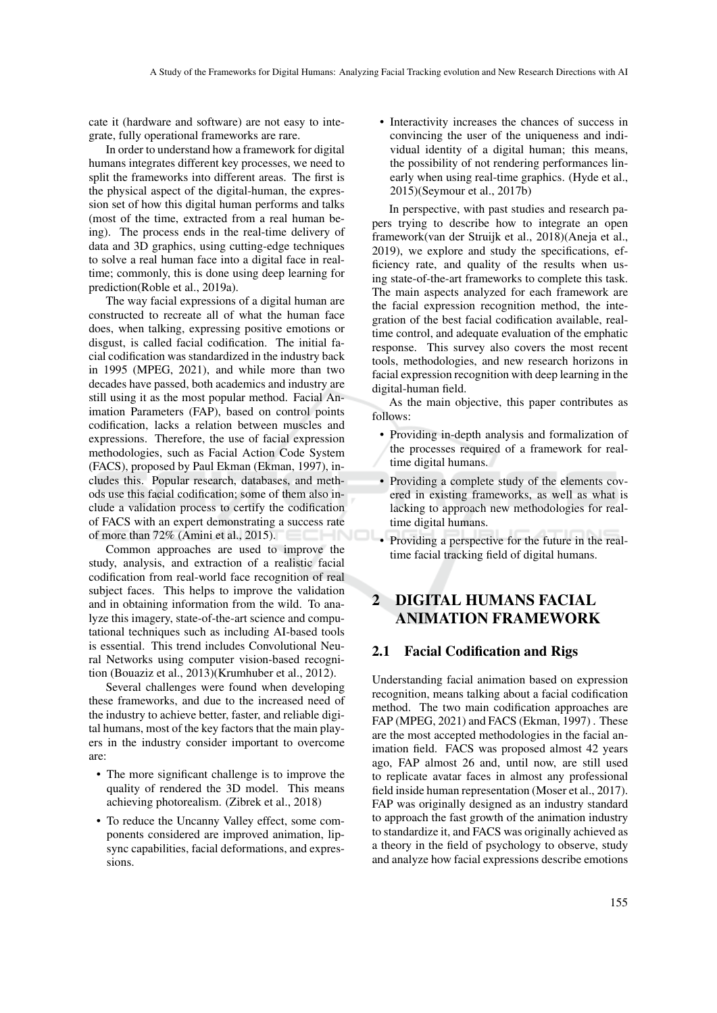cate it (hardware and software) are not easy to integrate, fully operational frameworks are rare.

In order to understand how a framework for digital humans integrates different key processes, we need to split the frameworks into different areas. The first is the physical aspect of the digital-human, the expression set of how this digital human performs and talks (most of the time, extracted from a real human being). The process ends in the real-time delivery of data and 3D graphics, using cutting-edge techniques to solve a real human face into a digital face in realtime; commonly, this is done using deep learning for prediction(Roble et al., 2019a).

The way facial expressions of a digital human are constructed to recreate all of what the human face does, when talking, expressing positive emotions or disgust, is called facial codification. The initial facial codification was standardized in the industry back in 1995 (MPEG, 2021), and while more than two decades have passed, both academics and industry are still using it as the most popular method. Facial Animation Parameters (FAP), based on control points codification, lacks a relation between muscles and expressions. Therefore, the use of facial expression methodologies, such as Facial Action Code System (FACS), proposed by Paul Ekman (Ekman, 1997), includes this. Popular research, databases, and methods use this facial codification; some of them also include a validation process to certify the codification of FACS with an expert demonstrating a success rate of more than 72% (Amini et al., 2015).

Common approaches are used to improve the study, analysis, and extraction of a realistic facial codification from real-world face recognition of real subject faces. This helps to improve the validation and in obtaining information from the wild. To analyze this imagery, state-of-the-art science and computational techniques such as including AI-based tools is essential. This trend includes Convolutional Neural Networks using computer vision-based recognition (Bouaziz et al., 2013)(Krumhuber et al., 2012).

Several challenges were found when developing these frameworks, and due to the increased need of the industry to achieve better, faster, and reliable digital humans, most of the key factors that the main players in the industry consider important to overcome are:

- The more significant challenge is to improve the quality of rendered the 3D model. This means achieving photorealism. (Zibrek et al., 2018)
- To reduce the Uncanny Valley effect, some components considered are improved animation, lipsync capabilities, facial deformations, and expressions.

• Interactivity increases the chances of success in convincing the user of the uniqueness and individual identity of a digital human; this means, the possibility of not rendering performances linearly when using real-time graphics. (Hyde et al., 2015)(Seymour et al., 2017b)

In perspective, with past studies and research papers trying to describe how to integrate an open framework(van der Struijk et al., 2018)(Aneja et al., 2019), we explore and study the specifications, efficiency rate, and quality of the results when using state-of-the-art frameworks to complete this task. The main aspects analyzed for each framework are the facial expression recognition method, the integration of the best facial codification available, realtime control, and adequate evaluation of the emphatic response. This survey also covers the most recent tools, methodologies, and new research horizons in facial expression recognition with deep learning in the digital-human field.

As the main objective, this paper contributes as follows:

- Providing in-depth analysis and formalization of the processes required of a framework for realtime digital humans.
- Providing a complete study of the elements covered in existing frameworks, as well as what is lacking to approach new methodologies for realtime digital humans.
- Providing a perspective for the future in the realtime facial tracking field of digital humans.

## 2 DIGITAL HUMANS FACIAL ANIMATION FRAMEWORK

#### 2.1 Facial Codification and Rigs

Understanding facial animation based on expression recognition, means talking about a facial codification method. The two main codification approaches are FAP (MPEG, 2021) and FACS (Ekman, 1997) . These are the most accepted methodologies in the facial animation field. FACS was proposed almost 42 years ago, FAP almost 26 and, until now, are still used to replicate avatar faces in almost any professional field inside human representation (Moser et al., 2017). FAP was originally designed as an industry standard to approach the fast growth of the animation industry to standardize it, and FACS was originally achieved as a theory in the field of psychology to observe, study and analyze how facial expressions describe emotions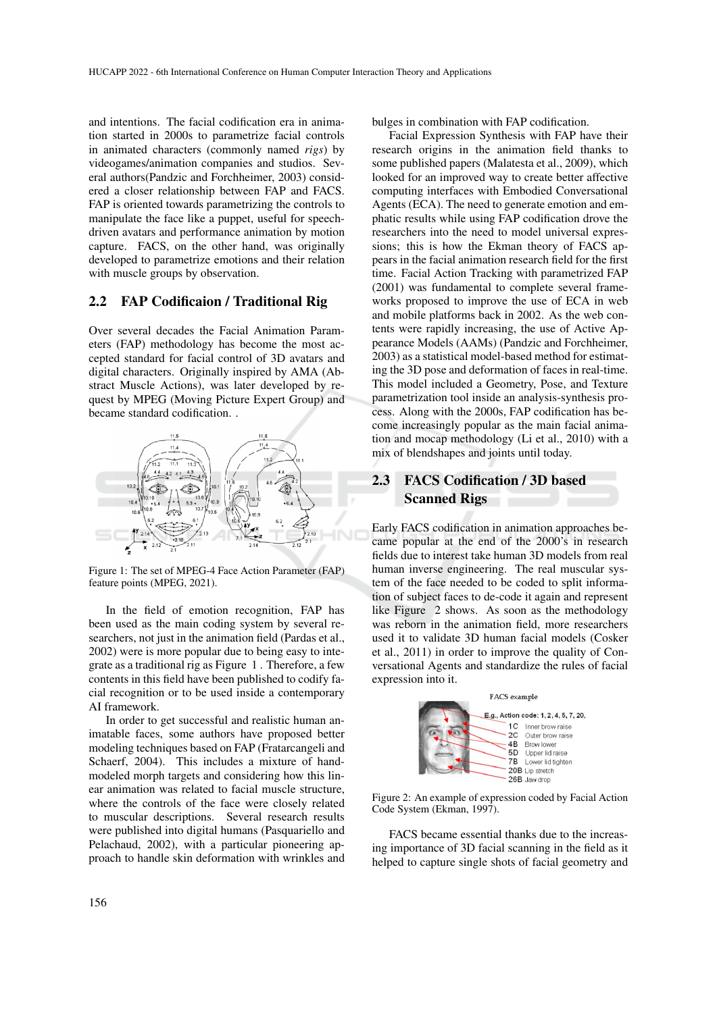and intentions. The facial codification era in animation started in 2000s to parametrize facial controls in animated characters (commonly named *rigs*) by videogames/animation companies and studios. Several authors(Pandzic and Forchheimer, 2003) considered a closer relationship between FAP and FACS. FAP is oriented towards parametrizing the controls to manipulate the face like a puppet, useful for speechdriven avatars and performance animation by motion capture. FACS, on the other hand, was originally developed to parametrize emotions and their relation with muscle groups by observation.

#### 2.2 FAP Codificaion / Traditional Rig

Over several decades the Facial Animation Parameters (FAP) methodology has become the most accepted standard for facial control of 3D avatars and digital characters. Originally inspired by AMA (Abstract Muscle Actions), was later developed by request by MPEG (Moving Picture Expert Group) and became standard codification. .



Figure 1: The set of MPEG-4 Face Action Parameter (FAP) feature points (MPEG, 2021).

In the field of emotion recognition, FAP has been used as the main coding system by several researchers, not just in the animation field (Pardas et al., 2002) were is more popular due to being easy to integrate as a traditional rig as Figure 1 . Therefore, a few contents in this field have been published to codify facial recognition or to be used inside a contemporary AI framework.

In order to get successful and realistic human animatable faces, some authors have proposed better modeling techniques based on FAP (Fratarcangeli and Schaerf, 2004). This includes a mixture of handmodeled morph targets and considering how this linear animation was related to facial muscle structure, where the controls of the face were closely related to muscular descriptions. Several research results were published into digital humans (Pasquariello and Pelachaud, 2002), with a particular pioneering approach to handle skin deformation with wrinkles and bulges in combination with FAP codification.

Facial Expression Synthesis with FAP have their research origins in the animation field thanks to some published papers (Malatesta et al., 2009), which looked for an improved way to create better affective computing interfaces with Embodied Conversational Agents (ECA). The need to generate emotion and emphatic results while using FAP codification drove the researchers into the need to model universal expressions; this is how the Ekman theory of FACS appears in the facial animation research field for the first time. Facial Action Tracking with parametrized FAP (2001) was fundamental to complete several frameworks proposed to improve the use of ECA in web and mobile platforms back in 2002. As the web contents were rapidly increasing, the use of Active Appearance Models (AAMs) (Pandzic and Forchheimer, 2003) as a statistical model-based method for estimating the 3D pose and deformation of faces in real-time. This model included a Geometry, Pose, and Texture parametrization tool inside an analysis-synthesis process. Along with the 2000s, FAP codification has become increasingly popular as the main facial animation and mocap methodology (Li et al., 2010) with a mix of blendshapes and joints until today.

### 2.3 FACS Codification / 3D based Scanned Rigs

Early FACS codification in animation approaches became popular at the end of the 2000's in research fields due to interest take human 3D models from real human inverse engineering. The real muscular system of the face needed to be coded to split information of subject faces to de-code it again and represent like Figure 2 shows. As soon as the methodology was reborn in the animation field, more researchers used it to validate 3D human facial models (Cosker et al., 2011) in order to improve the quality of Conversational Agents and standardize the rules of facial expression into it.



Figure 2: An example of expression coded by Facial Action Code System (Ekman, 1997).

FACS became essential thanks due to the increasing importance of 3D facial scanning in the field as it helped to capture single shots of facial geometry and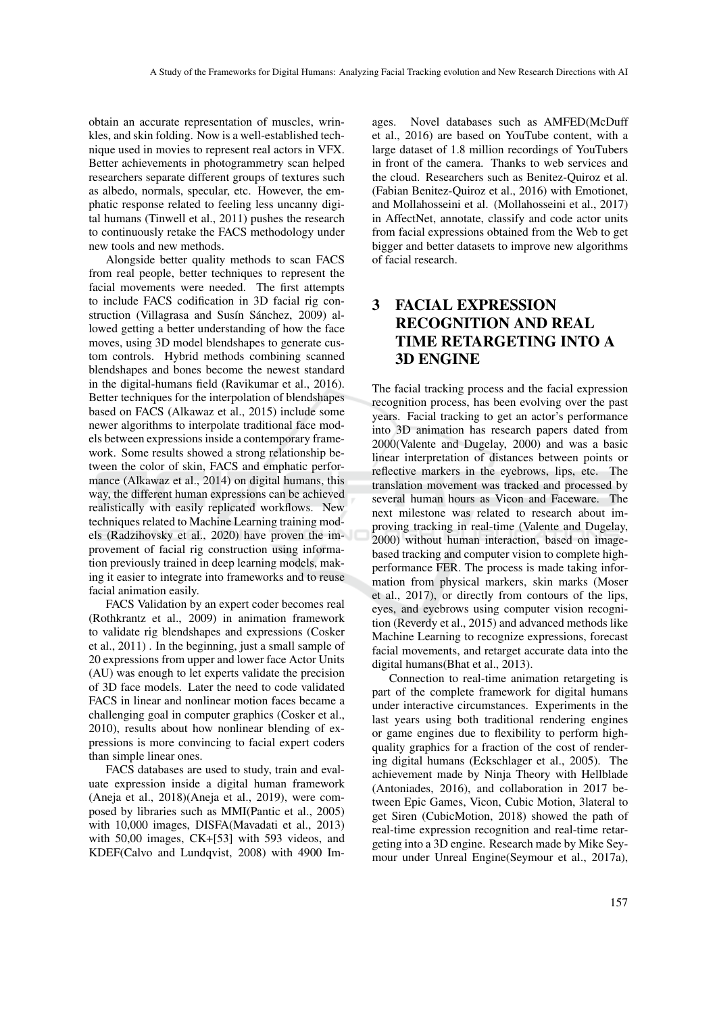obtain an accurate representation of muscles, wrinkles, and skin folding. Now is a well-established technique used in movies to represent real actors in VFX. Better achievements in photogrammetry scan helped researchers separate different groups of textures such as albedo, normals, specular, etc. However, the emphatic response related to feeling less uncanny digital humans (Tinwell et al., 2011) pushes the research to continuously retake the FACS methodology under new tools and new methods.

Alongside better quality methods to scan FACS from real people, better techniques to represent the facial movements were needed. The first attempts to include FACS codification in 3D facial rig construction (Villagrasa and Susín Sánchez, 2009) allowed getting a better understanding of how the face moves, using 3D model blendshapes to generate custom controls. Hybrid methods combining scanned blendshapes and bones become the newest standard in the digital-humans field (Ravikumar et al., 2016). Better techniques for the interpolation of blendshapes based on FACS (Alkawaz et al., 2015) include some newer algorithms to interpolate traditional face models between expressions inside a contemporary framework. Some results showed a strong relationship between the color of skin, FACS and emphatic performance (Alkawaz et al., 2014) on digital humans, this way, the different human expressions can be achieved realistically with easily replicated workflows. New techniques related to Machine Learning training models (Radzihovsky et al., 2020) have proven the improvement of facial rig construction using information previously trained in deep learning models, making it easier to integrate into frameworks and to reuse facial animation easily.

FACS Validation by an expert coder becomes real (Rothkrantz et al., 2009) in animation framework to validate rig blendshapes and expressions (Cosker et al., 2011) . In the beginning, just a small sample of 20 expressions from upper and lower face Actor Units (AU) was enough to let experts validate the precision of 3D face models. Later the need to code validated FACS in linear and nonlinear motion faces became a challenging goal in computer graphics (Cosker et al., 2010), results about how nonlinear blending of expressions is more convincing to facial expert coders than simple linear ones.

FACS databases are used to study, train and evaluate expression inside a digital human framework (Aneja et al., 2018)(Aneja et al., 2019), were composed by libraries such as MMI(Pantic et al., 2005) with 10,000 images, DISFA(Mavadati et al., 2013) with 50,00 images, CK+[53] with 593 videos, and KDEF(Calvo and Lundqvist, 2008) with 4900 Im-

ages. Novel databases such as AMFED(McDuff et al., 2016) are based on YouTube content, with a large dataset of 1.8 million recordings of YouTubers in front of the camera. Thanks to web services and the cloud. Researchers such as Benitez-Quiroz et al. (Fabian Benitez-Quiroz et al., 2016) with Emotionet, and Mollahosseini et al. (Mollahosseini et al., 2017) in AffectNet, annotate, classify and code actor units from facial expressions obtained from the Web to get bigger and better datasets to improve new algorithms of facial research.

## 3 FACIAL EXPRESSION RECOGNITION AND REAL TIME RETARGETING INTO A 3D ENGINE

The facial tracking process and the facial expression recognition process, has been evolving over the past years. Facial tracking to get an actor's performance into 3D animation has research papers dated from 2000(Valente and Dugelay, 2000) and was a basic linear interpretation of distances between points or reflective markers in the eyebrows, lips, etc. The translation movement was tracked and processed by several human hours as Vicon and Faceware. The next milestone was related to research about improving tracking in real-time (Valente and Dugelay, 2000) without human interaction, based on imagebased tracking and computer vision to complete highperformance FER. The process is made taking information from physical markers, skin marks (Moser et al., 2017), or directly from contours of the lips, eyes, and eyebrows using computer vision recognition (Reverdy et al., 2015) and advanced methods like Machine Learning to recognize expressions, forecast facial movements, and retarget accurate data into the digital humans(Bhat et al., 2013).

Connection to real-time animation retargeting is part of the complete framework for digital humans under interactive circumstances. Experiments in the last years using both traditional rendering engines or game engines due to flexibility to perform highquality graphics for a fraction of the cost of rendering digital humans (Eckschlager et al., 2005). The achievement made by Ninja Theory with Hellblade (Antoniades, 2016), and collaboration in 2017 between Epic Games, Vicon, Cubic Motion, 3lateral to get Siren (CubicMotion, 2018) showed the path of real-time expression recognition and real-time retargeting into a 3D engine. Research made by Mike Seymour under Unreal Engine(Seymour et al., 2017a),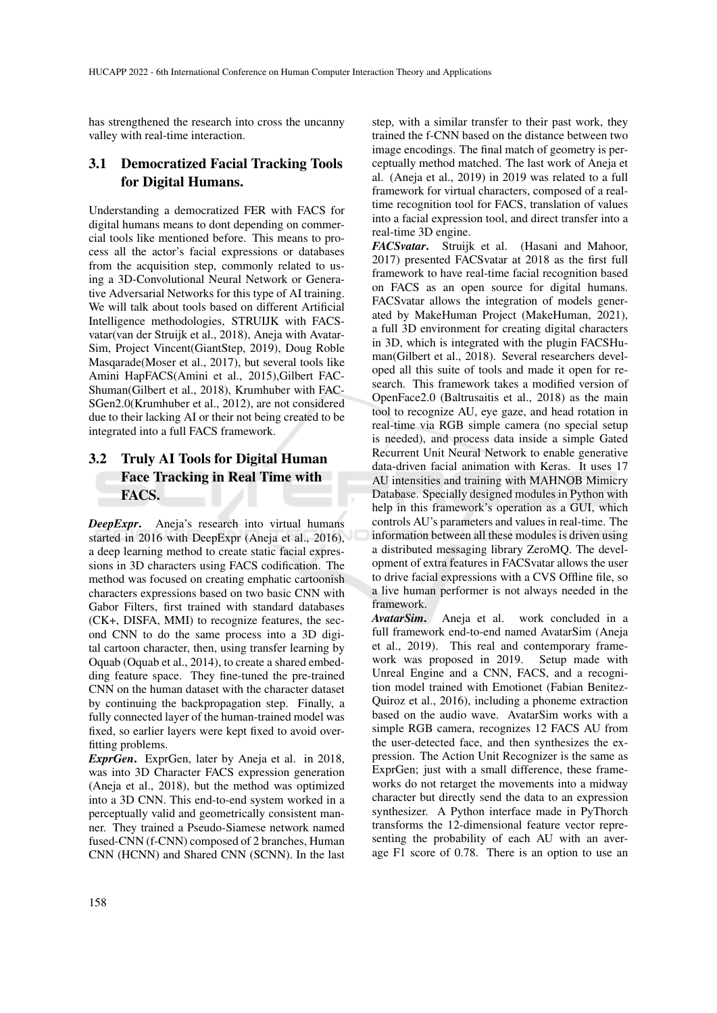has strengthened the research into cross the uncanny valley with real-time interaction.

### 3.1 Democratized Facial Tracking Tools for Digital Humans.

Understanding a democratized FER with FACS for digital humans means to dont depending on commercial tools like mentioned before. This means to process all the actor's facial expressions or databases from the acquisition step, commonly related to using a 3D-Convolutional Neural Network or Generative Adversarial Networks for this type of AI training. We will talk about tools based on different Artificial Intelligence methodologies, STRUIJK with FACSvatar(van der Struijk et al., 2018), Aneja with Avatar-Sim, Project Vincent(GiantStep, 2019), Doug Roble Masqarade(Moser et al., 2017), but several tools like Amini HapFACS(Amini et al., 2015),Gilbert FAC-Shuman(Gilbert et al., 2018), Krumhuber with FAC-SGen2.0(Krumhuber et al., 2012), are not considered due to their lacking AI or their not being created to be integrated into a full FACS framework.

### 3.2 Truly AI Tools for Digital Human Face Tracking in Real Time with FAC<sub>S</sub>.

*DeepExpr*. Aneja's research into virtual humans started in 2016 with DeepExpr (Aneja et al., 2016), a deep learning method to create static facial expressions in 3D characters using FACS codification. The method was focused on creating emphatic cartoonish characters expressions based on two basic CNN with Gabor Filters, first trained with standard databases (CK+, DISFA, MMI) to recognize features, the second CNN to do the same process into a 3D digital cartoon character, then, using transfer learning by Oquab (Oquab et al., 2014), to create a shared embedding feature space. They fine-tuned the pre-trained CNN on the human dataset with the character dataset by continuing the backpropagation step. Finally, a fully connected layer of the human-trained model was fixed, so earlier layers were kept fixed to avoid overfitting problems.

*ExprGen*. ExprGen, later by Aneja et al. in 2018, was into 3D Character FACS expression generation (Aneja et al., 2018), but the method was optimized into a 3D CNN. This end-to-end system worked in a perceptually valid and geometrically consistent manner. They trained a Pseudo-Siamese network named fused-CNN (f-CNN) composed of 2 branches, Human CNN (HCNN) and Shared CNN (SCNN). In the last

step, with a similar transfer to their past work, they trained the f-CNN based on the distance between two image encodings. The final match of geometry is perceptually method matched. The last work of Aneja et al. (Aneja et al., 2019) in 2019 was related to a full framework for virtual characters, composed of a realtime recognition tool for FACS, translation of values into a facial expression tool, and direct transfer into a real-time 3D engine.

*FACSvatar*. Struijk et al. (Hasani and Mahoor, 2017) presented FACSvatar at 2018 as the first full framework to have real-time facial recognition based on FACS as an open source for digital humans. FACSvatar allows the integration of models generated by MakeHuman Project (MakeHuman, 2021), a full 3D environment for creating digital characters in 3D, which is integrated with the plugin FACSHuman(Gilbert et al., 2018). Several researchers developed all this suite of tools and made it open for research. This framework takes a modified version of OpenFace2.0 (Baltrusaitis et al., 2018) as the main tool to recognize AU, eye gaze, and head rotation in real-time via RGB simple camera (no special setup is needed), and process data inside a simple Gated Recurrent Unit Neural Network to enable generative data-driven facial animation with Keras. It uses 17 AU intensities and training with MAHNOB Mimicry Database. Specially designed modules in Python with help in this framework's operation as a GUI, which controls AU's parameters and values in real-time. The information between all these modules is driven using a distributed messaging library ZeroMQ. The development of extra features in FACSvatar allows the user to drive facial expressions with a CVS Offline file, so a live human performer is not always needed in the framework.

*AvatarSim*. Aneja et al. work concluded in a full framework end-to-end named AvatarSim (Aneja et al., 2019). This real and contemporary framework was proposed in 2019. Setup made with Unreal Engine and a CNN, FACS, and a recognition model trained with Emotionet (Fabian Benitez-Quiroz et al., 2016), including a phoneme extraction based on the audio wave. AvatarSim works with a simple RGB camera, recognizes 12 FACS AU from the user-detected face, and then synthesizes the expression. The Action Unit Recognizer is the same as ExprGen; just with a small difference, these frameworks do not retarget the movements into a midway character but directly send the data to an expression synthesizer. A Python interface made in PyThorch transforms the 12-dimensional feature vector representing the probability of each AU with an average F1 score of 0.78. There is an option to use an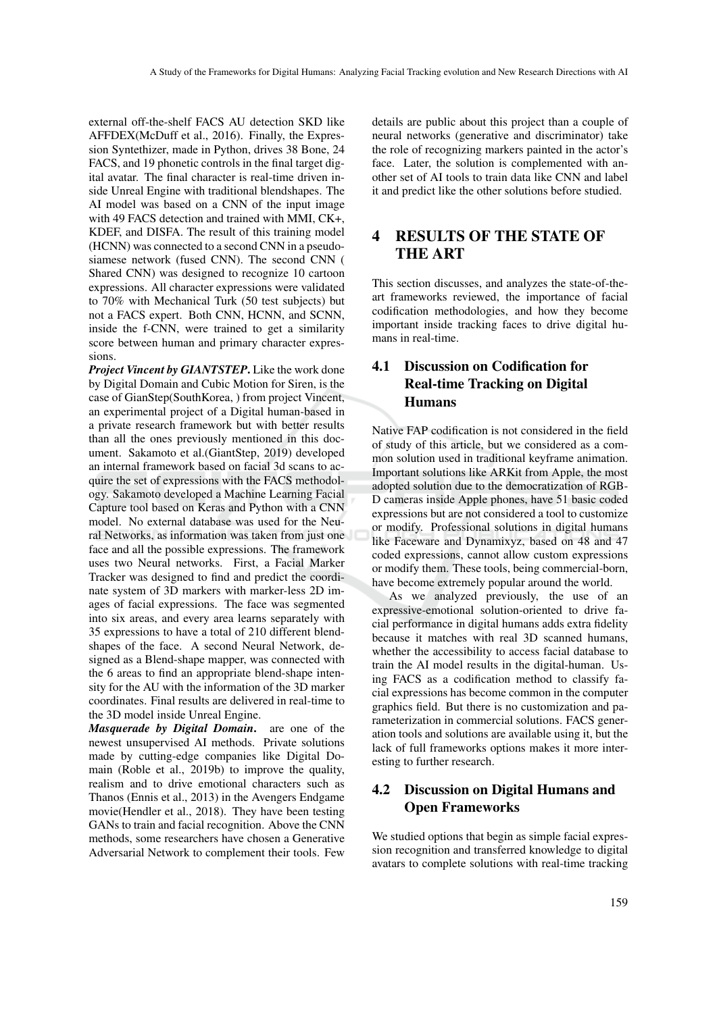external off-the-shelf FACS AU detection SKD like AFFDEX(McDuff et al., 2016). Finally, the Expression Syntethizer, made in Python, drives 38 Bone, 24 FACS, and 19 phonetic controls in the final target digital avatar. The final character is real-time driven inside Unreal Engine with traditional blendshapes. The AI model was based on a CNN of the input image with 49 FACS detection and trained with MMI, CK+, KDEF, and DISFA. The result of this training model (HCNN) was connected to a second CNN in a pseudosiamese network (fused CNN). The second CNN ( Shared CNN) was designed to recognize 10 cartoon expressions. All character expressions were validated to 70% with Mechanical Turk (50 test subjects) but not a FACS expert. Both CNN, HCNN, and SCNN, inside the f-CNN, were trained to get a similarity score between human and primary character expressions.

*Project Vincent by GIANTSTEP*. Like the work done by Digital Domain and Cubic Motion for Siren, is the case of GianStep(SouthKorea, ) from project Vincent, an experimental project of a Digital human-based in a private research framework but with better results than all the ones previously mentioned in this document. Sakamoto et al.(GiantStep, 2019) developed an internal framework based on facial 3d scans to acquire the set of expressions with the FACS methodology. Sakamoto developed a Machine Learning Facial Capture tool based on Keras and Python with a CNN model. No external database was used for the Neural Networks, as information was taken from just one face and all the possible expressions. The framework uses two Neural networks. First, a Facial Marker Tracker was designed to find and predict the coordinate system of 3D markers with marker-less 2D images of facial expressions. The face was segmented into six areas, and every area learns separately with 35 expressions to have a total of 210 different blendshapes of the face. A second Neural Network, designed as a Blend-shape mapper, was connected with the 6 areas to find an appropriate blend-shape intensity for the AU with the information of the 3D marker coordinates. Final results are delivered in real-time to the 3D model inside Unreal Engine.

*Masquerade by Digital Domain*. are one of the newest unsupervised AI methods. Private solutions made by cutting-edge companies like Digital Domain (Roble et al., 2019b) to improve the quality, realism and to drive emotional characters such as Thanos (Ennis et al., 2013) in the Avengers Endgame movie(Hendler et al., 2018). They have been testing GANs to train and facial recognition. Above the CNN methods, some researchers have chosen a Generative Adversarial Network to complement their tools. Few

details are public about this project than a couple of neural networks (generative and discriminator) take the role of recognizing markers painted in the actor's face. Later, the solution is complemented with another set of AI tools to train data like CNN and label it and predict like the other solutions before studied.

### 4 RESULTS OF THE STATE OF THE ART

This section discusses, and analyzes the state-of-theart frameworks reviewed, the importance of facial codification methodologies, and how they become important inside tracking faces to drive digital humans in real-time.

## 4.1 Discussion on Codification for Real-time Tracking on Digital Humans

Native FAP codification is not considered in the field of study of this article, but we considered as a common solution used in traditional keyframe animation. Important solutions like ARKit from Apple, the most adopted solution due to the democratization of RGB-D cameras inside Apple phones, have 51 basic coded expressions but are not considered a tool to customize or modify. Professional solutions in digital humans like Faceware and Dynamixyz, based on 48 and 47 coded expressions, cannot allow custom expressions or modify them. These tools, being commercial-born, have become extremely popular around the world.

As we analyzed previously, the use of an expressive-emotional solution-oriented to drive facial performance in digital humans adds extra fidelity because it matches with real 3D scanned humans, whether the accessibility to access facial database to train the AI model results in the digital-human. Using FACS as a codification method to classify facial expressions has become common in the computer graphics field. But there is no customization and parameterization in commercial solutions. FACS generation tools and solutions are available using it, but the lack of full frameworks options makes it more interesting to further research.

### 4.2 Discussion on Digital Humans and Open Frameworks

We studied options that begin as simple facial expression recognition and transferred knowledge to digital avatars to complete solutions with real-time tracking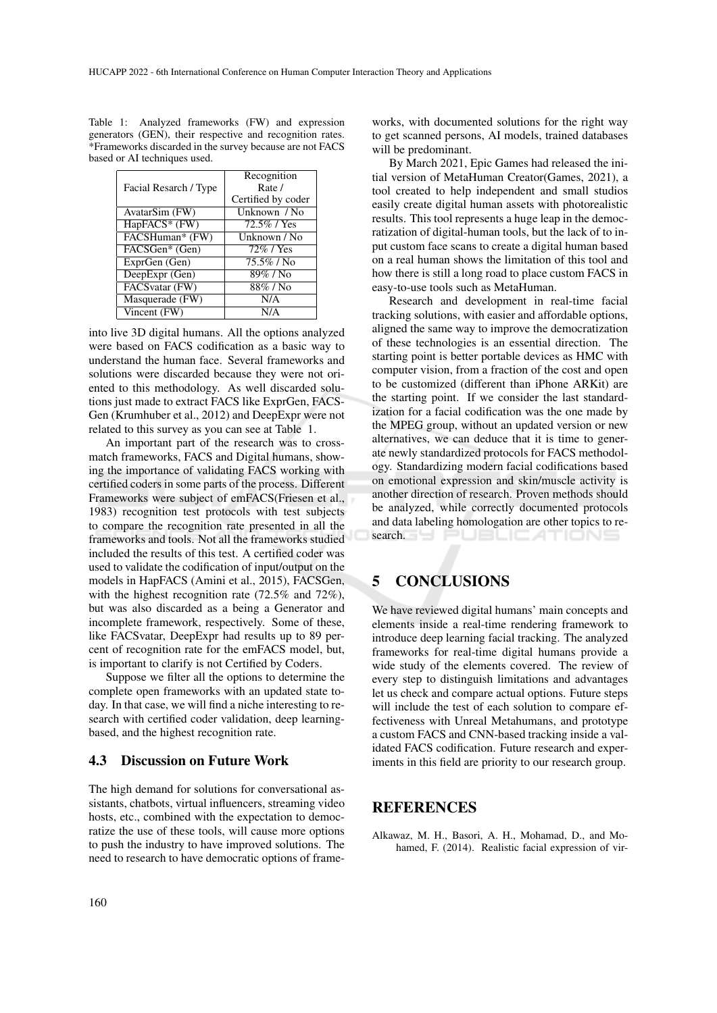|                                   | Recognition        |
|-----------------------------------|--------------------|
| Facial Resarch / Type             | Rate /             |
|                                   | Certified by coder |
| AvatarSim (FW)                    | Unknown / No       |
| HapFACS* (FW)                     | 72.5% / Yes        |
| FACSHuman* (FW)                   | Unknown / No       |
| FACSGen* (Gen)                    | 72% / Yes          |
| ExprGen (Gen)                     | 75.5%/No           |
| DeepExpr (Gen)                    | $89\%$ / No        |
| FACSvatar (FW)                    | $88\%$ / No        |
| Masquerade (FW)                   | N/A                |
| $\overline{\text{ Vincent (FW)}}$ | N/A                |

Table 1: Analyzed frameworks (FW) and expression generators (GEN), their respective and recognition rates. \*Frameworks discarded in the survey because are not FACS based or AI techniques used.

into live 3D digital humans. All the options analyzed were based on FACS codification as a basic way to understand the human face. Several frameworks and solutions were discarded because they were not oriented to this methodology. As well discarded solutions just made to extract FACS like ExprGen, FACS-Gen (Krumhuber et al., 2012) and DeepExpr were not related to this survey as you can see at Table 1.

An important part of the research was to crossmatch frameworks, FACS and Digital humans, showing the importance of validating FACS working with certified coders in some parts of the process. Different Frameworks were subject of emFACS(Friesen et al., 1983) recognition test protocols with test subjects to compare the recognition rate presented in all the frameworks and tools. Not all the frameworks studied included the results of this test. A certified coder was used to validate the codification of input/output on the models in HapFACS (Amini et al., 2015), FACSGen, with the highest recognition rate (72.5% and 72%), but was also discarded as a being a Generator and incomplete framework, respectively. Some of these, like FACSvatar, DeepExpr had results up to 89 percent of recognition rate for the emFACS model, but, is important to clarify is not Certified by Coders.

Suppose we filter all the options to determine the complete open frameworks with an updated state today. In that case, we will find a niche interesting to research with certified coder validation, deep learningbased, and the highest recognition rate.

#### 4.3 Discussion on Future Work

The high demand for solutions for conversational assistants, chatbots, virtual influencers, streaming video hosts, etc., combined with the expectation to democratize the use of these tools, will cause more options to push the industry to have improved solutions. The need to research to have democratic options of frameworks, with documented solutions for the right way to get scanned persons, AI models, trained databases will be predominant.

By March 2021, Epic Games had released the initial version of MetaHuman Creator(Games, 2021), a tool created to help independent and small studios easily create digital human assets with photorealistic results. This tool represents a huge leap in the democratization of digital-human tools, but the lack of to input custom face scans to create a digital human based on a real human shows the limitation of this tool and how there is still a long road to place custom FACS in easy-to-use tools such as MetaHuman.

Research and development in real-time facial tracking solutions, with easier and affordable options, aligned the same way to improve the democratization of these technologies is an essential direction. The starting point is better portable devices as HMC with computer vision, from a fraction of the cost and open to be customized (different than iPhone ARKit) are the starting point. If we consider the last standardization for a facial codification was the one made by the MPEG group, without an updated version or new alternatives, we can deduce that it is time to generate newly standardized protocols for FACS methodology. Standardizing modern facial codifications based on emotional expression and skin/muscle activity is another direction of research. Proven methods should be analyzed, while correctly documented protocols and data labeling homologation are other topics to research.

## 5 CONCLUSIONS

We have reviewed digital humans' main concepts and elements inside a real-time rendering framework to introduce deep learning facial tracking. The analyzed frameworks for real-time digital humans provide a wide study of the elements covered. The review of every step to distinguish limitations and advantages let us check and compare actual options. Future steps will include the test of each solution to compare effectiveness with Unreal Metahumans, and prototype a custom FACS and CNN-based tracking inside a validated FACS codification. Future research and experiments in this field are priority to our research group.

#### REFERENCES

Alkawaz, M. H., Basori, A. H., Mohamad, D., and Mohamed, F. (2014). Realistic facial expression of vir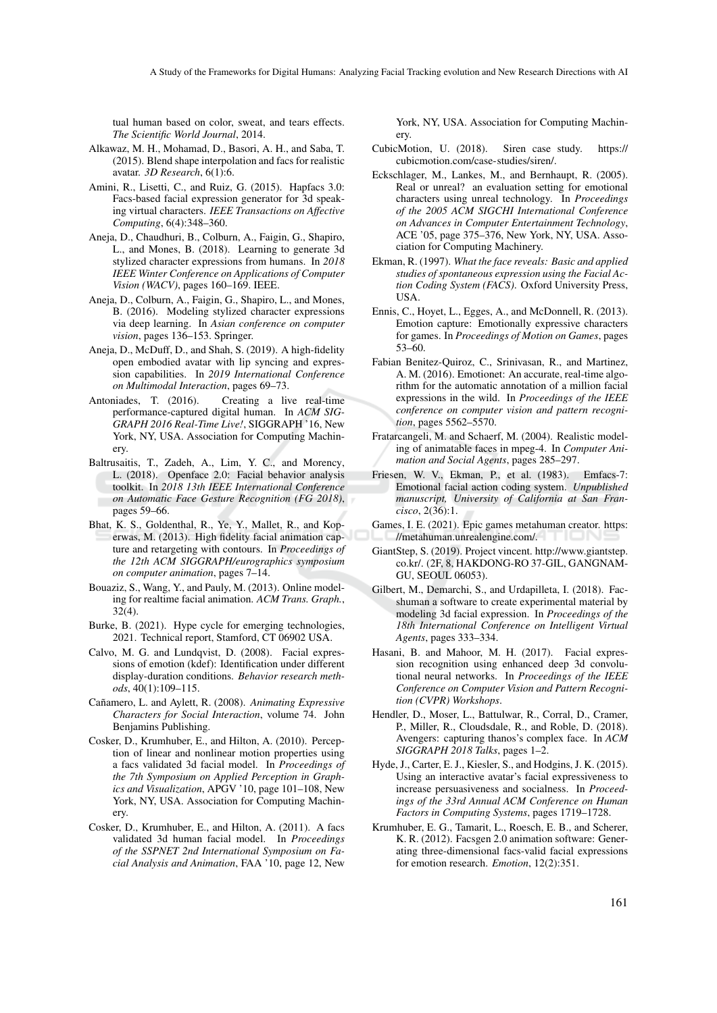tual human based on color, sweat, and tears effects. *The Scientific World Journal*, 2014.

- Alkawaz, M. H., Mohamad, D., Basori, A. H., and Saba, T. (2015). Blend shape interpolation and facs for realistic avatar. *3D Research*, 6(1):6.
- Amini, R., Lisetti, C., and Ruiz, G. (2015). Hapfacs 3.0: Facs-based facial expression generator for 3d speaking virtual characters. *IEEE Transactions on Affective Computing*, 6(4):348–360.
- Aneja, D., Chaudhuri, B., Colburn, A., Faigin, G., Shapiro, L., and Mones, B. (2018). Learning to generate 3d stylized character expressions from humans. In *2018 IEEE Winter Conference on Applications of Computer Vision (WACV)*, pages 160–169. IEEE.
- Aneja, D., Colburn, A., Faigin, G., Shapiro, L., and Mones, B. (2016). Modeling stylized character expressions via deep learning. In *Asian conference on computer vision*, pages 136–153. Springer.
- Aneja, D., McDuff, D., and Shah, S. (2019). A high-fidelity open embodied avatar with lip syncing and expression capabilities. In *2019 International Conference on Multimodal Interaction*, pages 69–73.
- Antoniades, T. (2016). Creating a live real-time performance-captured digital human. In *ACM SIG-GRAPH 2016 Real-Time Live!*, SIGGRAPH '16, New York, NY, USA. Association for Computing Machinery.
- Baltrusaitis, T., Zadeh, A., Lim, Y. C., and Morency, L. (2018). Openface 2.0: Facial behavior analysis toolkit. In *2018 13th IEEE International Conference on Automatic Face Gesture Recognition (FG 2018)*, pages 59–66.
- Bhat, K. S., Goldenthal, R., Ye, Y., Mallet, R., and Koperwas, M. (2013). High fidelity facial animation capture and retargeting with contours. In *Proceedings of the 12th ACM SIGGRAPH/eurographics symposium on computer animation*, pages 7–14.
- Bouaziz, S., Wang, Y., and Pauly, M. (2013). Online modeling for realtime facial animation. *ACM Trans. Graph.*, 32(4).
- Burke, B. (2021). Hype cycle for emerging technologies, 2021. Technical report, Stamford, CT 06902 USA.
- Calvo, M. G. and Lundqvist, D. (2008). Facial expressions of emotion (kdef): Identification under different display-duration conditions. *Behavior research methods*, 40(1):109–115.
- Cañamero, L. and Aylett, R. (2008). Animating Expressive *Characters for Social Interaction*, volume 74. John Benjamins Publishing.
- Cosker, D., Krumhuber, E., and Hilton, A. (2010). Perception of linear and nonlinear motion properties using a facs validated 3d facial model. In *Proceedings of the 7th Symposium on Applied Perception in Graphics and Visualization*, APGV '10, page 101–108, New York, NY, USA. Association for Computing Machinery.
- Cosker, D., Krumhuber, E., and Hilton, A. (2011). A facs validated 3d human facial model. In *Proceedings of the SSPNET 2nd International Symposium on Facial Analysis and Animation*, FAA '10, page 12, New

York, NY, USA. Association for Computing Machinery.

- CubicMotion, U. (2018). Siren case study. https:// cubicmotion.com/case-studies/siren/.
- Eckschlager, M., Lankes, M., and Bernhaupt, R. (2005). Real or unreal? an evaluation setting for emotional characters using unreal technology. In *Proceedings of the 2005 ACM SIGCHI International Conference on Advances in Computer Entertainment Technology*, ACE '05, page 375–376, New York, NY, USA. Association for Computing Machinery.
- Ekman, R. (1997). *What the face reveals: Basic and applied studies of spontaneous expression using the Facial Action Coding System (FACS)*. Oxford University Press, USA.
- Ennis, C., Hoyet, L., Egges, A., and McDonnell, R. (2013). Emotion capture: Emotionally expressive characters for games. In *Proceedings of Motion on Games*, pages 53–60.
- Fabian Benitez-Quiroz, C., Srinivasan, R., and Martinez, A. M. (2016). Emotionet: An accurate, real-time algorithm for the automatic annotation of a million facial expressions in the wild. In *Proceedings of the IEEE conference on computer vision and pattern recognition*, pages 5562–5570.
- Fratarcangeli, M. and Schaerf, M. (2004). Realistic modeling of animatable faces in mpeg-4. In *Computer Animation and Social Agents*, pages 285–297.
- Friesen, W. V., Ekman, P., et al. (1983). Emfacs-7: Emotional facial action coding system. *Unpublished manuscript, University of California at San Francisco*, 2(36):1.
- Games, I. E. (2021). Epic games metahuman creator. https: //metahuman.unrealengine.com/.
- GiantStep, S. (2019). Project vincent. http://www.giantstep. co.kr/. (2F, 8, HAKDONG-RO 37-GIL, GANGNAM-GU, SEOUL 06053).
- Gilbert, M., Demarchi, S., and Urdapilleta, I. (2018). Facshuman a software to create experimental material by modeling 3d facial expression. In *Proceedings of the 18th International Conference on Intelligent Virtual Agents*, pages 333–334.
- Hasani, B. and Mahoor, M. H. (2017). Facial expression recognition using enhanced deep 3d convolutional neural networks. In *Proceedings of the IEEE Conference on Computer Vision and Pattern Recognition (CVPR) Workshops*.
- Hendler, D., Moser, L., Battulwar, R., Corral, D., Cramer, P., Miller, R., Cloudsdale, R., and Roble, D. (2018). Avengers: capturing thanos's complex face. In *ACM SIGGRAPH 2018 Talks*, pages 1–2.
- Hyde, J., Carter, E. J., Kiesler, S., and Hodgins, J. K. (2015). Using an interactive avatar's facial expressiveness to increase persuasiveness and socialness. In *Proceedings of the 33rd Annual ACM Conference on Human Factors in Computing Systems*, pages 1719–1728.
- Krumhuber, E. G., Tamarit, L., Roesch, E. B., and Scherer, K. R. (2012). Facsgen 2.0 animation software: Generating three-dimensional facs-valid facial expressions for emotion research. *Emotion*, 12(2):351.